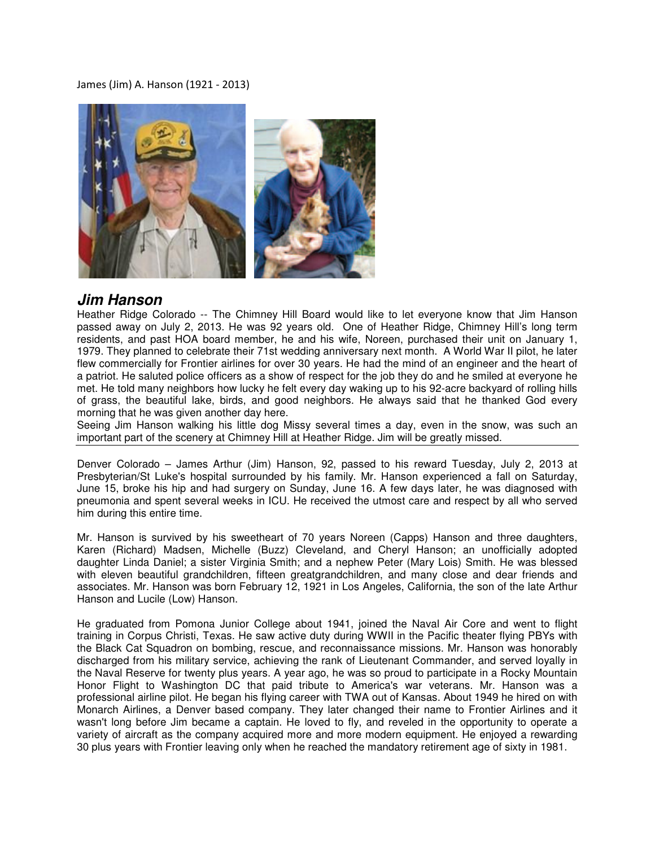## James (Jim) A. Hanson (1921 - 2013)



## **Jim Hanson**

Heather Ridge Colorado -- The Chimney Hill Board would like to let everyone know that Jim Hanson passed away on July 2, 2013. He was 92 years old. One of Heather Ridge, Chimney Hill's long term residents, and past HOA board member, he and his wife, Noreen, purchased their unit on January 1, 1979. They planned to celebrate their 71st wedding anniversary next month. A World War II pilot, he later flew commercially for Frontier airlines for over 30 years. He had the mind of an engineer and the heart of a patriot. He saluted police officers as a show of respect for the job they do and he smiled at everyone he met. He told many neighbors how lucky he felt every day waking up to his 92-acre backyard of rolling hills of grass, the beautiful lake, birds, and good neighbors. He always said that he thanked God every morning that he was given another day here.

Seeing Jim Hanson walking his little dog Missy several times a day, even in the snow, was such an important part of the scenery at Chimney Hill at Heather Ridge. Jim will be greatly missed.

Denver Colorado – James Arthur (Jim) Hanson, 92, passed to his reward Tuesday, July 2, 2013 at Presbyterian/St Luke's hospital surrounded by his family. Mr. Hanson experienced a fall on Saturday, June 15, broke his hip and had surgery on Sunday, June 16. A few days later, he was diagnosed with pneumonia and spent several weeks in ICU. He received the utmost care and respect by all who served him during this entire time.

Mr. Hanson is survived by his sweetheart of 70 years Noreen (Capps) Hanson and three daughters, Karen (Richard) Madsen, Michelle (Buzz) Cleveland, and Cheryl Hanson; an unofficially adopted daughter Linda Daniel; a sister Virginia Smith; and a nephew Peter (Mary Lois) Smith. He was blessed with eleven beautiful grandchildren, fifteen greatgrandchildren, and many close and dear friends and associates. Mr. Hanson was born February 12, 1921 in Los Angeles, California, the son of the late Arthur Hanson and Lucile (Low) Hanson.

He graduated from Pomona Junior College about 1941, joined the Naval Air Core and went to flight training in Corpus Christi, Texas. He saw active duty during WWII in the Pacific theater flying PBYs with the Black Cat Squadron on bombing, rescue, and reconnaissance missions. Mr. Hanson was honorably discharged from his military service, achieving the rank of Lieutenant Commander, and served loyally in the Naval Reserve for twenty plus years. A year ago, he was so proud to participate in a Rocky Mountain Honor Flight to Washington DC that paid tribute to America's war veterans. Mr. Hanson was a professional airline pilot. He began his flying career with TWA out of Kansas. About 1949 he hired on with Monarch Airlines, a Denver based company. They later changed their name to Frontier Airlines and it wasn't long before Jim became a captain. He loved to fly, and reveled in the opportunity to operate a variety of aircraft as the company acquired more and more modern equipment. He enjoyed a rewarding 30 plus years with Frontier leaving only when he reached the mandatory retirement age of sixty in 1981.